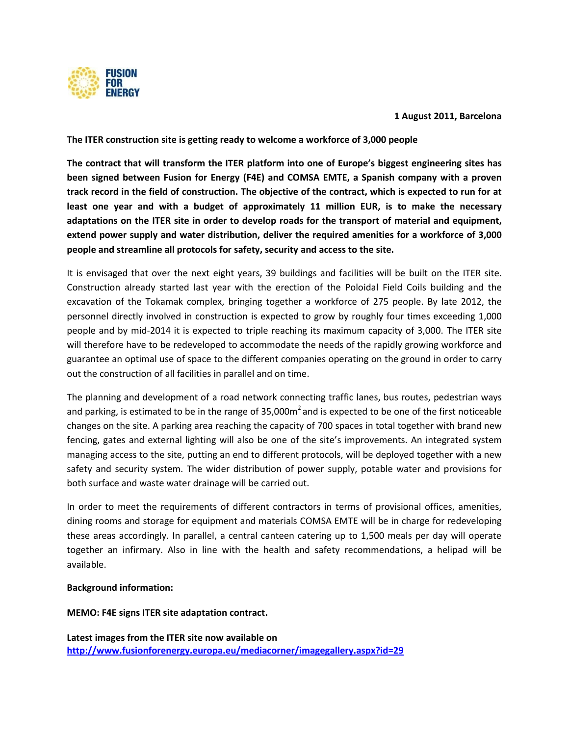

**1 August 2011, Barcelona**

**The ITER construction site is getting ready to welcome a workforce of 3,000 people**

**The contract that will transform the ITER platform into one of Europe's biggest engineering sites has been signed between Fusion for Energy (F4E) and COMSA EMTE, a Spanish company with a proven track record in the field of construction. The objective of the contract, which is expected to run for at least one year and with a budget of approximately 11 million EUR, is to make the necessary adaptations on the ITER site in order to develop roads for the transport of material and equipment, extend power supply and water distribution, deliver the required amenities for a workforce of 3,000 people and streamline all protocols for safety, security and access to the site.**

It is envisaged that over the next eight years, 39 buildings and facilities will be built on the ITER site. Construction already started last year with the erection of the Poloidal Field Coils building and the excavation of the Tokamak complex, bringing together a workforce of 275 people. By late 2012, the personnel directly involved in construction is expected to grow by roughly four times exceeding 1,000 people and by mid-2014 it is expected to triple reaching its maximum capacity of 3,000. The ITER site will therefore have to be redeveloped to accommodate the needs of the rapidly growing workforce and guarantee an optimal use of space to the different companies operating on the ground in order to carry out the construction of all facilities in parallel and on time.

The planning and development of a road network connecting traffic lanes, bus routes, pedestrian ways and parking, is estimated to be in the range of 35,000m<sup>2</sup> and is expected to be one of the first noticeable changes on the site. A parking area reaching the capacity of 700 spaces in total together with brand new fencing, gates and external lighting will also be one of the site's improvements. An integrated system managing access to the site, putting an end to different protocols, will be deployed together with a new safety and security system. The wider distribution of power supply, potable water and provisions for both surface and waste water drainage will be carried out.

In order to meet the requirements of different contractors in terms of provisional offices, amenities, dining rooms and storage for equipment and materials COMSA EMTE will be in charge for redeveloping these areas accordingly. In parallel, a central canteen catering up to 1,500 meals per day will operate together an infirmary. Also in line with the health and safety recommendations, a helipad will be available.

# **Background information:**

**MEMO: F4E signs ITER site adaptation contract.**

**Latest images from the ITER site now available on <http://www.fusionforenergy.europa.eu/mediacorner/imagegallery.aspx?id=29>**